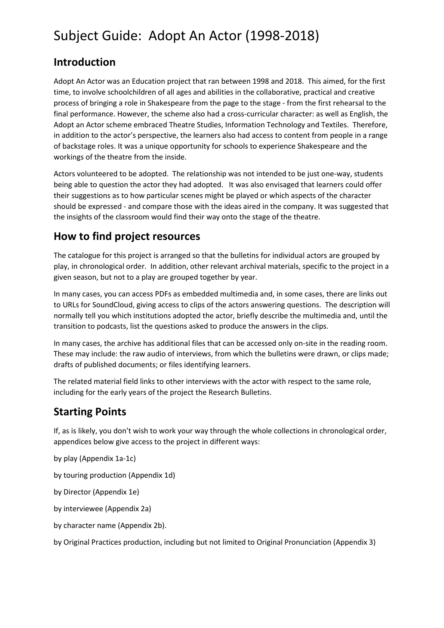### **Introduction**

Adopt An Actor was an Education project that ran between 1998 and 2018. This aimed, for the first time, to involve schoolchildren of all ages and abilities in the collaborative, practical and creative process of bringing a role in Shakespeare from the page to the stage - from the first rehearsal to the final performance. However, the scheme also had a cross-curricular character: as well as English, the Adopt an Actor scheme embraced Theatre Studies, Information Technology and Textiles. Therefore, in addition to the actor's perspective, the learners also had access to content from people in a range of backstage roles. It was a unique opportunity for schools to experience Shakespeare and the workings of the theatre from the inside.

Actors volunteered to be adopted. The relationship was not intended to be just one-way, students being able to question the actor they had adopted. It was also envisaged that learners could offer their suggestions as to how particular scenes might be played or which aspects of the character should be expressed - and compare those with the ideas aired in the company. It was suggested that the insights of the classroom would find their way onto the stage of the theatre.

### **How to find project resources**

The catalogue for this project is arranged so that the bulletins for individual actors are grouped by play, in chronological order. In addition, other relevant archival materials, specific to the project in a given season, but not to a play are grouped together by year.

In many cases, you can access PDFs as embedded multimedia and, in some cases, there are links out to URLs for SoundCloud, giving access to clips of the actors answering questions. The description will normally tell you which institutions adopted the actor, briefly describe the multimedia and, until the transition to podcasts, list the questions asked to produce the answers in the clips.

In many cases, the archive has additional files that can be accessed only on-site in the reading room. These may include: the raw audio of interviews, from which the bulletins were drawn, or clips made; drafts of published documents; or files identifying learners.

The related material field links to other interviews with the actor with respect to the same role, including for the early years of the project the Research Bulletins.

### **Starting Points**

If, as is likely, you don't wish to work your way through the whole collections in chronological order, appendices below give access to the project in different ways:

by play (Appendix 1a-1c)

by touring production (Appendix 1d)

by Director (Appendix 1e)

by interviewee (Appendix 2a)

by character name (Appendix 2b).

by Original Practices production, including but not limited to Original Pronunciation (Appendix 3)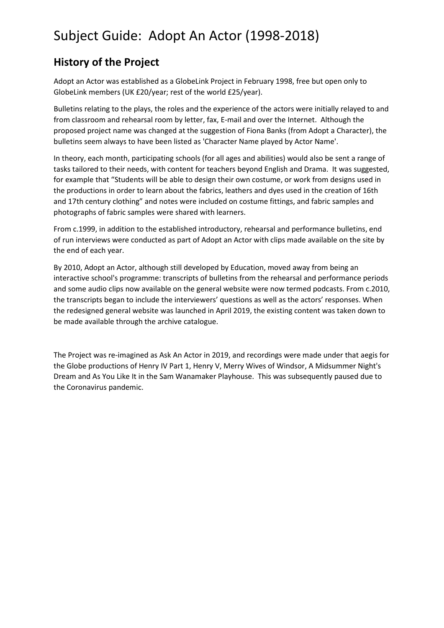### **History of the Project**

Adopt an Actor was established as a GlobeLink Project in February 1998, free but open only to GlobeLink members (UK £20/year; rest of the world £25/year).

Bulletins relating to the plays, the roles and the experience of the actors were initially relayed to and from classroom and rehearsal room by letter, fax, E-mail and over the Internet. Although the proposed project name was changed at the suggestion of Fiona Banks (from Adopt a Character), the bulletins seem always to have been listed as 'Character Name played by Actor Name'.

In theory, each month, participating schools (for all ages and abilities) would also be sent a range of tasks tailored to their needs, with content for teachers beyond English and Drama. It was suggested, for example that "Students will be able to design their own costume, or work from designs used in the productions in order to learn about the fabrics, leathers and dyes used in the creation of 16th and 17th century clothing" and notes were included on costume fittings, and fabric samples and photographs of fabric samples were shared with learners.

From c.1999, in addition to the established introductory, rehearsal and performance bulletins, end of run interviews were conducted as part of Adopt an Actor with clips made available on the site by the end of each year.

By 2010, Adopt an Actor, although still developed by Education, moved away from being an interactive school's programme: transcripts of bulletins from the rehearsal and performance periods and some audio clips now available on the general website were now termed podcasts. From c.2010, the transcripts began to include the interviewers' questions as well as the actors' responses. When the redesigned general website was launched in April 2019, the existing content was taken down to be made available through the archive catalogue.

The Project was re-imagined as Ask An Actor in 2019, and recordings were made under that aegis for the Globe productions of Henry IV Part 1, Henry V, Merry Wives of Windsor, A Midsummer Night's Dream and As You Like It in the Sam Wanamaker Playhouse. This was subsequently paused due to the Coronavirus pandemic.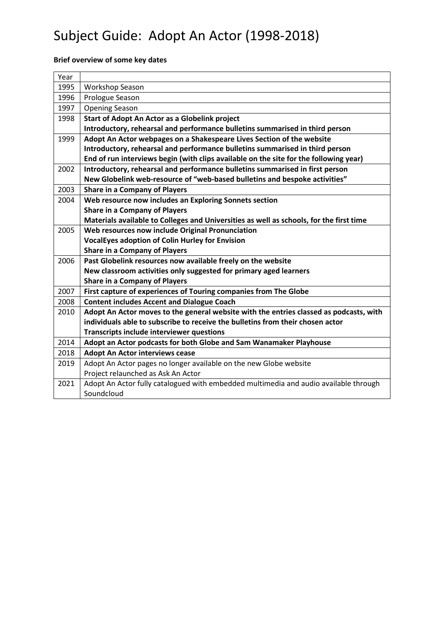#### **Brief overview of some key dates**

| Year |                                                                                         |
|------|-----------------------------------------------------------------------------------------|
| 1995 | Workshop Season                                                                         |
| 1996 | Prologue Season                                                                         |
| 1997 | <b>Opening Season</b>                                                                   |
| 1998 | Start of Adopt An Actor as a Globelink project                                          |
|      | Introductory, rehearsal and performance bulletins summarised in third person            |
| 1999 | Adopt An Actor webpages on a Shakespeare Lives Section of the website                   |
|      | Introductory, rehearsal and performance bulletins summarised in third person            |
|      | End of run interviews begin (with clips available on the site for the following year)   |
| 2002 | Introductory, rehearsal and performance bulletins summarised in first person            |
|      | New Globelink web-resource of "web-based bulletins and bespoke activities"              |
| 2003 | <b>Share in a Company of Players</b>                                                    |
| 2004 | Web resource now includes an Exploring Sonnets section                                  |
|      | <b>Share in a Company of Players</b>                                                    |
|      | Materials available to Colleges and Universities as well as schools, for the first time |
| 2005 | Web resources now include Original Pronunciation                                        |
|      | <b>VocalEyes adoption of Colin Hurley for Envision</b>                                  |
|      | <b>Share in a Company of Players</b>                                                    |
| 2006 | Past Globelink resources now available freely on the website                            |
|      | New classroom activities only suggested for primary aged learners                       |
|      | <b>Share in a Company of Players</b>                                                    |
| 2007 | First capture of experiences of Touring companies from The Globe                        |
| 2008 | <b>Content includes Accent and Dialogue Coach</b>                                       |
| 2010 | Adopt An Actor moves to the general website with the entries classed as podcasts, with  |
|      | individuals able to subscribe to receive the bulletins from their chosen actor          |
|      | <b>Transcripts include interviewer questions</b>                                        |
| 2014 | Adopt an Actor podcasts for both Globe and Sam Wanamaker Playhouse                      |
| 2018 | <b>Adopt An Actor interviews cease</b>                                                  |
| 2019 | Adopt An Actor pages no longer available on the new Globe website                       |
|      | Project relaunched as Ask An Actor                                                      |
| 2021 | Adopt An Actor fully catalogued with embedded multimedia and audio available through    |
|      | Soundcloud                                                                              |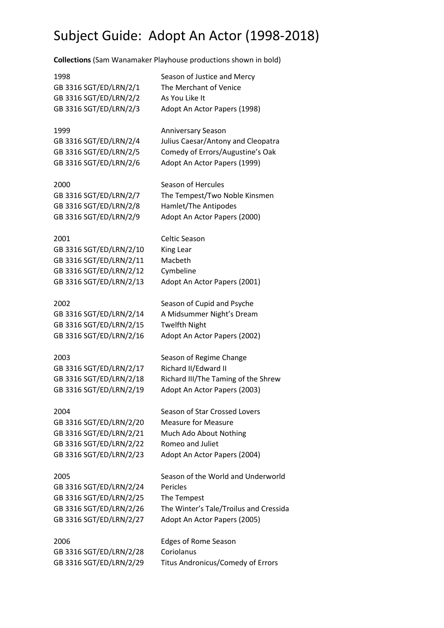**Collections** (Sam Wanamaker Playhouse productions shown in bold)

1998 Season of Justice and Mercy GB 3316 SGT/ED/LRN/2/1 The Merchant of Venice GB 3316 SGT/ED/LRN/2/2 As You Like It GB 3316 SGT/ED/LRN/2/3 Adopt An Actor Papers (1998) 1999 Anniversary Season GB 3316 SGT/ED/LRN/2/4 Julius Caesar/Antony and Cleopatra GB 3316 SGT/ED/LRN/2/5 Comedy of Errors/Augustine's Oak GB 3316 SGT/ED/LRN/2/6 Adopt An Actor Papers (1999) 2000 Season of Hercules GB 3316 SGT/ED/LRN/2/7 The Tempest/Two Noble Kinsmen GB 3316 SGT/ED/LRN/2/8 Hamlet/The Antipodes GB 3316 SGT/ED/LRN/2/9 Adopt An Actor Papers (2000) 2001 Celtic Season GB 3316 SGT/ED/LRN/2/10 King Lear GB 3316 SGT/ED/LRN/2/11 Macbeth GB 3316 SGT/ED/LRN/2/12 Cymbeline GB 3316 SGT/ED/LRN/2/13 Adopt An Actor Papers (2001) 2002 Season of Cupid and Psyche GB 3316 SGT/ED/LRN/2/14 A Midsummer Night's Dream GB 3316 SGT/ED/LRN/2/15 Twelfth Night GB 3316 SGT/ED/LRN/2/16 Adopt An Actor Papers (2002) 2003 Season of Regime Change GB 3316 SGT/ED/LRN/2/17 Richard II/Edward II GB 3316 SGT/ED/LRN/2/18 Richard III/The Taming of the Shrew GB 3316 SGT/ED/LRN/2/19 Adopt An Actor Papers (2003) 2004 Season of Star Crossed Lovers GB 3316 SGT/ED/LRN/2/20 Measure for Measure GB 3316 SGT/ED/LRN/2/21 Much Ado About Nothing GB 3316 SGT/ED/LRN/2/22 Romeo and Juliet GB 3316 SGT/ED/LRN/2/23 Adopt An Actor Papers (2004) 2005 Season of the World and Underworld GB 3316 SGT/ED/LRN/2/24 Pericles GB 3316 SGT/ED/LRN/2/25 The Tempest GB 3316 SGT/ED/LRN/2/26 The Winter's Tale/Troilus and Cressida GB 3316 SGT/ED/LRN/2/27 Adopt An Actor Papers (2005) 2006 Edges of Rome Season GB 3316 SGT/ED/LRN/2/28 Coriolanus GB 3316 SGT/ED/LRN/2/29 Titus Andronicus/Comedy of Errors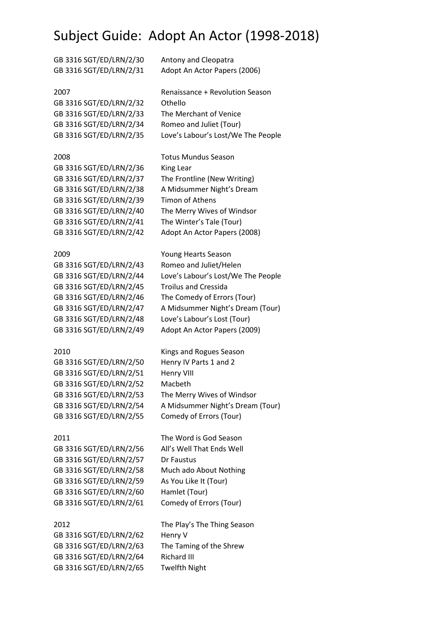| GB 3316 SGT/ED/LRN/2/30 | Antony and Cleopatra               |
|-------------------------|------------------------------------|
| GB 3316 SGT/ED/LRN/2/31 | Adopt An Actor Papers (2006)       |
| 2007                    | Renaissance + Revolution Season    |
| GB 3316 SGT/ED/LRN/2/32 | Othello                            |
| GB 3316 SGT/ED/LRN/2/33 | The Merchant of Venice             |
| GB 3316 SGT/ED/LRN/2/34 | Romeo and Juliet (Tour)            |
| GB 3316 SGT/ED/LRN/2/35 | Love's Labour's Lost/We The People |
| 2008                    | <b>Totus Mundus Season</b>         |
| GB 3316 SGT/ED/LRN/2/36 | King Lear                          |
| GB 3316 SGT/ED/LRN/2/37 | The Frontline (New Writing)        |
| GB 3316 SGT/ED/LRN/2/38 | A Midsummer Night's Dream          |
| GB 3316 SGT/ED/LRN/2/39 | <b>Timon of Athens</b>             |
| GB 3316 SGT/ED/LRN/2/40 | The Merry Wives of Windsor         |
| GB 3316 SGT/ED/LRN/2/41 | The Winter's Tale (Tour)           |
| GB 3316 SGT/ED/LRN/2/42 | Adopt An Actor Papers (2008)       |
| 2009                    | Young Hearts Season                |
| GB 3316 SGT/ED/LRN/2/43 | Romeo and Juliet/Helen             |
| GB 3316 SGT/ED/LRN/2/44 | Love's Labour's Lost/We The People |
| GB 3316 SGT/ED/LRN/2/45 | <b>Troilus and Cressida</b>        |
| GB 3316 SGT/ED/LRN/2/46 | The Comedy of Errors (Tour)        |
| GB 3316 SGT/ED/LRN/2/47 | A Midsummer Night's Dream (Tour)   |
|                         |                                    |

GB 3316 SGT/ED/LRN/2/48 Love's Labour's Lost (Tour) GB 3316 SGT/ED/LRN/2/49 Adopt An Actor Papers (2009)

#### 2010 Kings and Rogues Season

GB 3316 SGT/ED/LRN/2/50 Henry IV Parts 1 and 2 GB 3316 SGT/ED/LRN/2/51 Henry VIII GB 3316 SGT/ED/LRN/2/52 Macbeth GB 3316 SGT/ED/LRN/2/53 The Merry Wives of Windsor GB 3316 SGT/ED/LRN/2/54 A Midsummer Night's Dream (Tour) GB 3316 SGT/ED/LRN/2/55 Comedy of Errors (Tour)

GB 3316 SGT/ED/LRN/2/57 Dr Faustus GB 3316 SGT/ED/LRN/2/58 Much ado About Nothing GB 3316 SGT/ED/LRN/2/59 As You Like It (Tour) GB 3316 SGT/ED/LRN/2/60 Hamlet (Tour) GB 3316 SGT/ED/LRN/2/61 Comedy of Errors (Tour)

GB 3316 SGT/ED/LRN/2/62 Henry V GB 3316 SGT/ED/LRN/2/63 The Taming of the Shrew GB 3316 SGT/ED/LRN/2/64 Richard III GB 3316 SGT/ED/LRN/2/65 Twelfth Night

2011 The Word is God Season GB 3316 SGT/ED/LRN/2/56 All's Well That Ends Well

2012 The Play's The Thing Season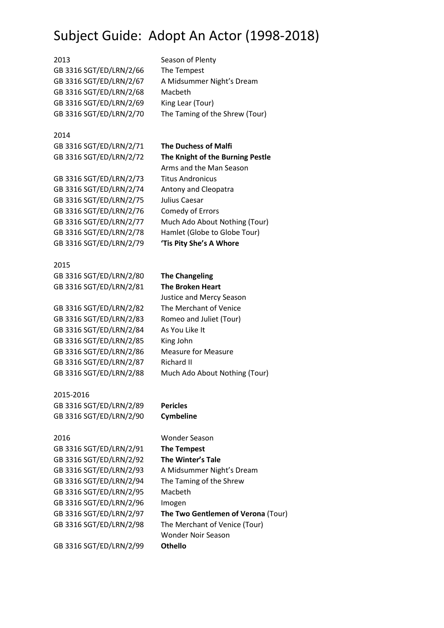2013 Season of Plenty GB 3316 SGT/ED/LRN/2/66 The Tempest GB 3316 SGT/ED/LRN/2/68 Macbeth GB 3316 SGT/ED/LRN/2/69 King Lear (Tour) GB 3316 SGT/ED/LRN/2/70 The Taming of the Shrew (Tour)

2014

GB 3316 SGT/ED/LRN/2/71 **The Duchess of Malfi**

GB 3316 SGT/ED/LRN/2/73 Titus Andronicus GB 3316 SGT/ED/LRN/2/74 Antony and Cleopatra GB 3316 SGT/ED/LRN/2/75 Julius Caesar GB 3316 SGT/ED/LRN/2/76 Comedy of Errors GB 3316 SGT/ED/LRN/2/79 **'Tis Pity She's A Whore**

2015 GB 3316 SGT/ED/LRN/2/80 **The Changeling** GB 3316 SGT/ED/LRN/2/81 **The Broken Heart**

GB 3316 SGT/ED/LRN/2/82 The Merchant of Venice GB 3316 SGT/ED/LRN/2/83 Romeo and Juliet (Tour) GB 3316 SGT/ED/LRN/2/84 As You Like It GB 3316 SGT/ED/LRN/2/85 King John GB 3316 SGT/ED/LRN/2/86 Measure for Measure GB 3316 SGT/ED/LRN/2/87 Richard II GB 3316 SGT/ED/LRN/2/88 Much Ado About Nothing (Tour)

2015-2016 GB 3316 SGT/ED/LRN/2/89 **Pericles** GB 3316 SGT/ED/LRN/2/90 **Cymbeline**

GB 3316 SGT/ED/LRN/2/91 **The Tempest** GB 3316 SGT/ED/LRN/2/92 **The Winter's Tale** GB 3316 SGT/ED/LRN/2/94 The Taming of the Shrew GB 3316 SGT/ED/LRN/2/95 Macbeth GB 3316 SGT/ED/LRN/2/96 Imogen

GB 3316 SGT/ED/LRN/2/67 A Midsummer Night's Dream

GB 3316 SGT/ED/LRN/2/72 **The Knight of the Burning Pestle** Arms and the Man Season GB 3316 SGT/ED/LRN/2/77 Much Ado About Nothing (Tour) GB 3316 SGT/ED/LRN/2/78 Hamlet (Globe to Globe Tour)

Justice and Mercy Season

2016 Wonder Season GB 3316 SGT/ED/LRN/2/93 A Midsummer Night's Dream GB 3316 SGT/ED/LRN/2/97 **The Two Gentlemen of Verona** (Tour) GB 3316 SGT/ED/LRN/2/98 The Merchant of Venice (Tour) Wonder Noir Season GB 3316 SGT/ED/LRN/2/99 **Othello**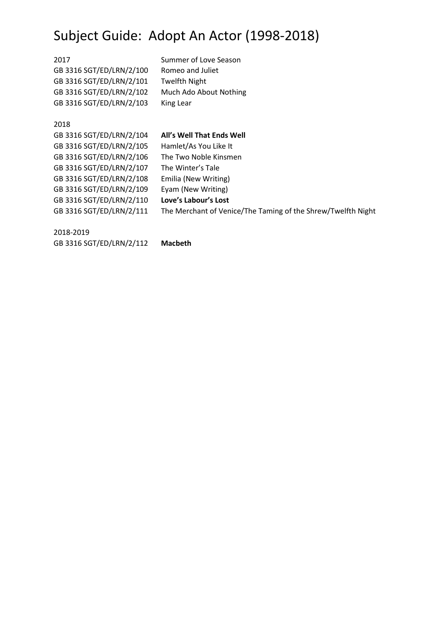2017 Summer of Love Season GB 3316 SGT/ED/LRN/2/100 Romeo and Juliet GB 3316 SGT/ED/LRN/2/101 Twelfth Night GB 3316 SGT/ED/LRN/2/102 Much Ado About Nothing GB 3316 SGT/ED/LRN/2/103 King Lear

#### 2018

#### GB 3316 SGT/ED/LRN/2/104 **All's Well That Ends Well**

GB 3316 SGT/ED/LRN/2/105 Hamlet/As You Like It GB 3316 SGT/ED/LRN/2/106 The Two Noble Kinsmen GB 3316 SGT/ED/LRN/2/107 The Winter's Tale GB 3316 SGT/ED/LRN/2/108 Emilia (New Writing) GB 3316 SGT/ED/LRN/2/109 Eyam (New Writing) GB 3316 SGT/ED/LRN/2/110 **Love's Labour's Lost**

GB 3316 SGT/ED/LRN/2/111 The Merchant of Venice/The Taming of the Shrew/Twelfth Night

2018-2019

GB 3316 SGT/ED/LRN/2/112 **Macbeth**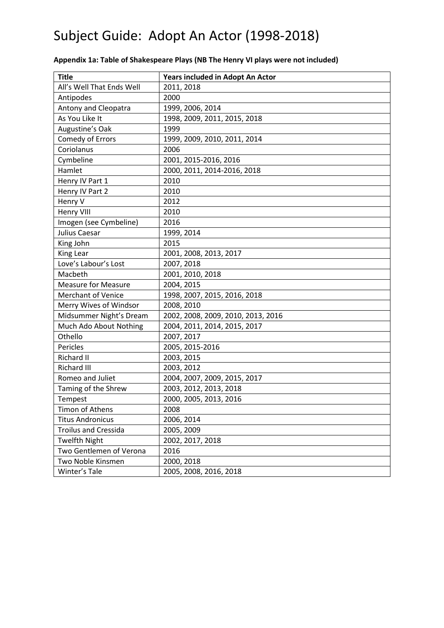| <b>Title</b>                | Years included in Adopt An Actor   |
|-----------------------------|------------------------------------|
| All's Well That Ends Well   | 2011, 2018                         |
| Antipodes                   | 2000                               |
| <b>Antony and Cleopatra</b> | 1999, 2006, 2014                   |
| As You Like It              | 1998, 2009, 2011, 2015, 2018       |
| Augustine's Oak             | 1999                               |
| Comedy of Errors            | 1999, 2009, 2010, 2011, 2014       |
| Coriolanus                  | 2006                               |
| Cymbeline                   | 2001, 2015-2016, 2016              |
| Hamlet                      | 2000, 2011, 2014-2016, 2018        |
| Henry IV Part 1             | 2010                               |
| Henry IV Part 2             | 2010                               |
| Henry V                     | 2012                               |
| <b>Henry VIII</b>           | 2010                               |
| Imogen (see Cymbeline)      | 2016                               |
| Julius Caesar               | 1999, 2014                         |
| King John                   | 2015                               |
| King Lear                   | 2001, 2008, 2013, 2017             |
| Love's Labour's Lost        | 2007, 2018                         |
| Macbeth                     | 2001, 2010, 2018                   |
| <b>Measure for Measure</b>  | 2004, 2015                         |
| Merchant of Venice          | 1998, 2007, 2015, 2016, 2018       |
| Merry Wives of Windsor      | 2008, 2010                         |
| Midsummer Night's Dream     | 2002, 2008, 2009, 2010, 2013, 2016 |
| Much Ado About Nothing      | 2004, 2011, 2014, 2015, 2017       |
| Othello                     | 2007, 2017                         |
| Pericles                    | 2005, 2015-2016                    |
| Richard II                  | 2003, 2015                         |
| <b>Richard III</b>          | 2003, 2012                         |
| Romeo and Juliet            | 2004, 2007, 2009, 2015, 2017       |
| Taming of the Shrew         | 2003, 2012, 2013, 2018             |
| Tempest                     | 2000, 2005, 2013, 2016             |
| Timon of Athens             | 2008                               |
| <b>Titus Andronicus</b>     | 2006, 2014                         |
| <b>Troilus and Cressida</b> | 2005, 2009                         |
| <b>Twelfth Night</b>        | 2002, 2017, 2018                   |
| Two Gentlemen of Verona     | 2016                               |
| Two Noble Kinsmen           | 2000, 2018                         |
| Winter's Tale               | 2005, 2008, 2016, 2018             |

#### **Appendix 1a: Table of Shakespeare Plays (NB The Henry VI plays were not included)**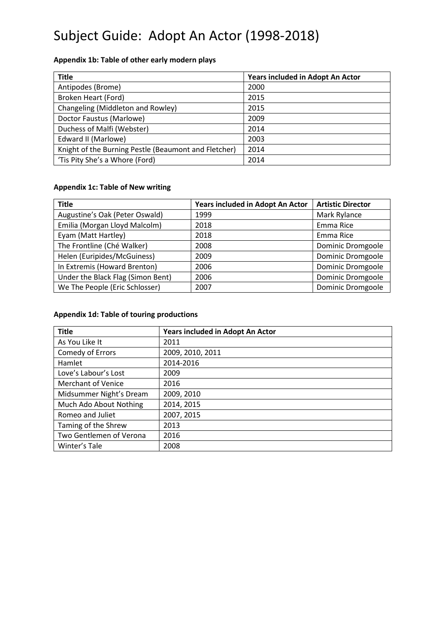#### **Appendix 1b: Table of other early modern plays**

| <b>Title</b>                                         | Years included in Adopt An Actor |
|------------------------------------------------------|----------------------------------|
| Antipodes (Brome)                                    | 2000                             |
| Broken Heart (Ford)                                  | 2015                             |
| Changeling (Middleton and Rowley)                    | 2015                             |
| Doctor Faustus (Marlowe)                             | 2009                             |
| Duchess of Malfi (Webster)                           | 2014                             |
| Edward II (Marlowe)                                  | 2003                             |
| Knight of the Burning Pestle (Beaumont and Fletcher) | 2014                             |
| 'Tis Pity She's a Whore (Ford)                       | 2014                             |

#### **Appendix 1c: Table of New writing**

| <b>Title</b>                      | Years included in Adopt An Actor | <b>Artistic Director</b> |
|-----------------------------------|----------------------------------|--------------------------|
| Augustine's Oak (Peter Oswald)    | 1999                             | Mark Rylance             |
| Emilia (Morgan Lloyd Malcolm)     | 2018                             | Emma Rice                |
| Eyam (Matt Hartley)               | 2018                             | Emma Rice                |
| The Frontline (Ché Walker)        | 2008                             | Dominic Dromgoole        |
| Helen (Euripides/McGuiness)       | 2009                             | Dominic Dromgoole        |
| In Extremis (Howard Brenton)      | 2006                             | Dominic Dromgoole        |
| Under the Black Flag (Simon Bent) | 2006                             | Dominic Dromgoole        |
| We The People (Eric Schlosser)    | 2007                             | Dominic Dromgoole        |

#### **Appendix 1d: Table of touring productions**

| <b>Title</b>              | Years included in Adopt An Actor |
|---------------------------|----------------------------------|
| As You Like It            | 2011                             |
| Comedy of Errors          | 2009, 2010, 2011                 |
| Hamlet                    | 2014-2016                        |
| Love's Labour's Lost      | 2009                             |
| <b>Merchant of Venice</b> | 2016                             |
| Midsummer Night's Dream   | 2009, 2010                       |
| Much Ado About Nothing    | 2014, 2015                       |
| Romeo and Juliet          | 2007, 2015                       |
| Taming of the Shrew       | 2013                             |
| Two Gentlemen of Verona   | 2016                             |
| Winter's Tale             | 2008                             |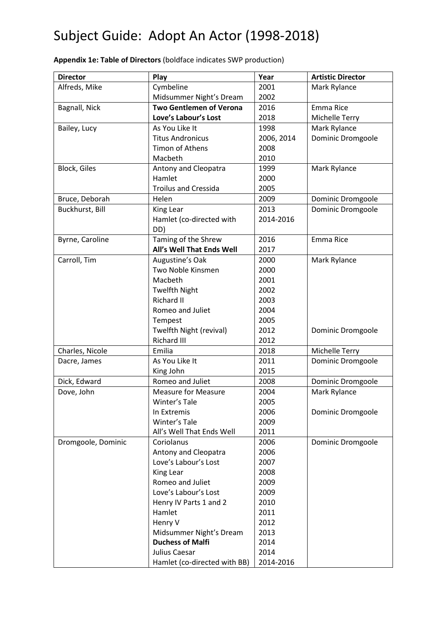| <b>Director</b>     | Play                           | Year       | <b>Artistic Director</b> |
|---------------------|--------------------------------|------------|--------------------------|
| Alfreds, Mike       | Cymbeline                      | 2001       | Mark Rylance             |
|                     | Midsummer Night's Dream        | 2002       |                          |
| Bagnall, Nick       | <b>Two Gentlemen of Verona</b> | 2016       | Emma Rice                |
|                     | Love's Labour's Lost           | 2018       | Michelle Terry           |
| Bailey, Lucy        | As You Like It                 | 1998       | Mark Rylance             |
|                     | <b>Titus Andronicus</b>        | 2006, 2014 | Dominic Dromgoole        |
|                     | Timon of Athens                | 2008       |                          |
|                     | Macbeth                        | 2010       |                          |
| <b>Block, Giles</b> | Antony and Cleopatra           | 1999       | Mark Rylance             |
|                     | Hamlet                         | 2000       |                          |
|                     | <b>Troilus and Cressida</b>    | 2005       |                          |
| Bruce, Deborah      | Helen                          | 2009       | Dominic Dromgoole        |
| Buckhurst, Bill     | King Lear                      | 2013       | Dominic Dromgoole        |
|                     | Hamlet (co-directed with       | 2014-2016  |                          |
|                     | DD)                            |            |                          |
| Byrne, Caroline     | Taming of the Shrew            | 2016       | Emma Rice                |
|                     | All's Well That Ends Well      | 2017       |                          |
| Carroll, Tim        | Augustine's Oak                | 2000       | Mark Rylance             |
|                     | Two Noble Kinsmen              | 2000       |                          |
|                     | Macbeth                        | 2001       |                          |
|                     | <b>Twelfth Night</b>           | 2002       |                          |
|                     | Richard II                     | 2003       |                          |
|                     | Romeo and Juliet               | 2004       |                          |
|                     | Tempest                        | 2005       |                          |
|                     | Twelfth Night (revival)        | 2012       | Dominic Dromgoole        |
|                     | <b>Richard III</b>             | 2012       |                          |
| Charles, Nicole     | Emilia                         | 2018       | Michelle Terry           |
| Dacre, James        | As You Like It                 | 2011       | Dominic Dromgoole        |
|                     | King John                      | 2015       |                          |
| Dick, Edward        | Romeo and Juliet               | 2008       | Dominic Dromgoole        |
| Dove, John          | <b>Measure for Measure</b>     | 2004       | Mark Rylance             |
|                     | Winter's Tale                  | 2005       |                          |
|                     | In Extremis                    | 2006       | Dominic Dromgoole        |
|                     | Winter's Tale                  | 2009       |                          |
|                     | All's Well That Ends Well      | 2011       |                          |
| Dromgoole, Dominic  | Coriolanus                     | 2006       | Dominic Dromgoole        |
|                     | Antony and Cleopatra           | 2006       |                          |
|                     | Love's Labour's Lost           | 2007       |                          |
|                     | King Lear                      | 2008       |                          |
|                     | Romeo and Juliet               | 2009       |                          |
|                     | Love's Labour's Lost           | 2009       |                          |
|                     | Henry IV Parts 1 and 2         | 2010       |                          |
|                     | Hamlet                         | 2011       |                          |
|                     | Henry V                        | 2012       |                          |
|                     | Midsummer Night's Dream        | 2013       |                          |
|                     | <b>Duchess of Malfi</b>        | 2014       |                          |
|                     | Julius Caesar                  | 2014       |                          |
|                     | Hamlet (co-directed with BB)   | 2014-2016  |                          |

**Appendix 1e: Table of Directors** (boldface indicates SWP production)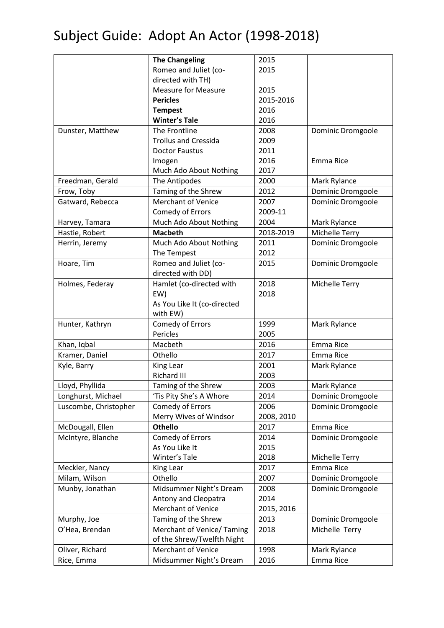|                       | <b>The Changeling</b>       | 2015       |                   |
|-----------------------|-----------------------------|------------|-------------------|
|                       | Romeo and Juliet (co-       | 2015       |                   |
|                       | directed with TH)           |            |                   |
|                       | <b>Measure for Measure</b>  | 2015       |                   |
|                       | <b>Pericles</b>             | 2015-2016  |                   |
|                       | <b>Tempest</b>              | 2016       |                   |
|                       | <b>Winter's Tale</b>        | 2016       |                   |
| Dunster, Matthew      | The Frontline               | 2008       | Dominic Dromgoole |
|                       | <b>Troilus and Cressida</b> | 2009       |                   |
|                       | <b>Doctor Faustus</b>       | 2011       |                   |
|                       | Imogen                      | 2016       | Emma Rice         |
|                       | Much Ado About Nothing      | 2017       |                   |
| Freedman, Gerald      | The Antipodes               | 2000       | Mark Rylance      |
| Frow, Toby            | Taming of the Shrew         | 2012       | Dominic Dromgoole |
| Gatward, Rebecca      | Merchant of Venice          | 2007       | Dominic Dromgoole |
|                       | Comedy of Errors            | 2009-11    |                   |
| Harvey, Tamara        | Much Ado About Nothing      | 2004       | Mark Rylance      |
| Hastie, Robert        | <b>Macbeth</b>              | 2018-2019  | Michelle Terry    |
| Herrin, Jeremy        | Much Ado About Nothing      | 2011       | Dominic Dromgoole |
|                       | The Tempest                 | 2012       |                   |
| Hoare, Tim            | Romeo and Juliet (co-       | 2015       | Dominic Dromgoole |
|                       | directed with DD)           |            |                   |
| Holmes, Federay       | Hamlet (co-directed with    | 2018       | Michelle Terry    |
|                       | EW)                         | 2018       |                   |
|                       | As You Like It (co-directed |            |                   |
|                       | with EW)                    |            |                   |
| Hunter, Kathryn       | <b>Comedy of Errors</b>     | 1999       | Mark Rylance      |
|                       | Pericles                    | 2005       |                   |
| Khan, Iqbal           | Macbeth                     | 2016       | Emma Rice         |
| Kramer, Daniel        | Othello                     | 2017       | Emma Rice         |
| Kyle, Barry           | King Lear                   | 2001       | Mark Rylance      |
|                       | Richard III                 | 2003       |                   |
| Lloyd, Phyllida       | Taming of the Shrew         | 2003       | Mark Rylance      |
| Longhurst, Michael    | 'Tis Pity She's A Whore     | 2014       | Dominic Dromgoole |
| Luscombe, Christopher | Comedy of Errors            | 2006       | Dominic Dromgoole |
|                       | Merry Wives of Windsor      | 2008, 2010 |                   |
| McDougall, Ellen      | <b>Othello</b>              | 2017       | Emma Rice         |
| McIntyre, Blanche     | Comedy of Errors            | 2014       | Dominic Dromgoole |
|                       | As You Like It              | 2015       |                   |
|                       | Winter's Tale               | 2018       | Michelle Terry    |
| Meckler, Nancy        | King Lear                   | 2017       | Emma Rice         |
| Milam, Wilson         | Othello                     | 2007       | Dominic Dromgoole |
| Munby, Jonathan       | Midsummer Night's Dream     | 2008       | Dominic Dromgoole |
|                       | Antony and Cleopatra        | 2014       |                   |
|                       | <b>Merchant of Venice</b>   | 2015, 2016 |                   |
| Murphy, Joe           | Taming of the Shrew         | 2013       | Dominic Dromgoole |
| O'Hea, Brendan        | Merchant of Venice/Taming   | 2018       | Michelle Terry    |
|                       | of the Shrew/Twelfth Night  |            |                   |
| Oliver, Richard       | <b>Merchant of Venice</b>   | 1998       | Mark Rylance      |
| Rice, Emma            | Midsummer Night's Dream     | 2016       | Emma Rice         |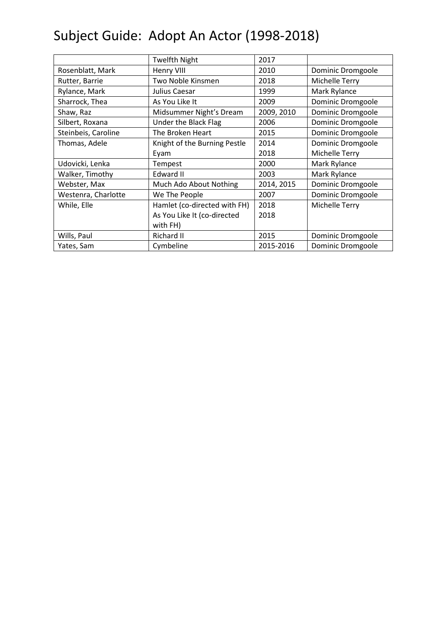|                     | <b>Twelfth Night</b>         | 2017       |                   |
|---------------------|------------------------------|------------|-------------------|
| Rosenblatt, Mark    | Henry VIII                   | 2010       | Dominic Dromgoole |
| Rutter, Barrie      | Two Noble Kinsmen            | 2018       | Michelle Terry    |
| Rylance, Mark       | Julius Caesar                | 1999       | Mark Rylance      |
| Sharrock, Thea      | As You Like It               | 2009       | Dominic Dromgoole |
| Shaw, Raz           | Midsummer Night's Dream      | 2009, 2010 | Dominic Dromgoole |
| Silbert, Roxana     | Under the Black Flag         | 2006       | Dominic Dromgoole |
| Steinbeis, Caroline | The Broken Heart             | 2015       | Dominic Dromgoole |
| Thomas, Adele       | Knight of the Burning Pestle | 2014       | Dominic Dromgoole |
|                     | Eyam                         | 2018       | Michelle Terry    |
| Udovicki, Lenka     | Tempest                      | 2000       | Mark Rylance      |
| Walker, Timothy     | Edward II                    | 2003       | Mark Rylance      |
| Webster, Max        | Much Ado About Nothing       | 2014, 2015 | Dominic Dromgoole |
| Westenra, Charlotte | We The People                | 2007       | Dominic Dromgoole |
| While, Elle         | Hamlet (co-directed with FH) | 2018       | Michelle Terry    |
|                     | As You Like It (co-directed  | 2018       |                   |
|                     | with FH)                     |            |                   |
| Wills, Paul         | Richard II                   | 2015       | Dominic Dromgoole |
| Yates, Sam          | Cymbeline                    | 2015-2016  | Dominic Dromgoole |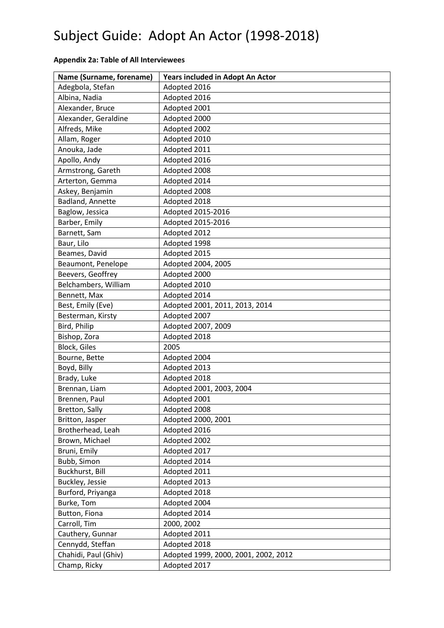| Name (Surname, forename) | Years included in Adopt An Actor     |
|--------------------------|--------------------------------------|
| Adegbola, Stefan         | Adopted 2016                         |
| Albina, Nadia            | Adopted 2016                         |
| Alexander, Bruce         | Adopted 2001                         |
| Alexander, Geraldine     | Adopted 2000                         |
| Alfreds, Mike            | Adopted 2002                         |
| Allam, Roger             | Adopted 2010                         |
| Anouka, Jade             | Adopted 2011                         |
| Apollo, Andy             | Adopted 2016                         |
| Armstrong, Gareth        | Adopted 2008                         |
| Arterton, Gemma          | Adopted 2014                         |
| Askey, Benjamin          | Adopted 2008                         |
| Badland, Annette         | Adopted 2018                         |
| Baglow, Jessica          | Adopted 2015-2016                    |
| Barber, Emily            | Adopted 2015-2016                    |
| Barnett, Sam             | Adopted 2012                         |
| Baur, Lilo               | Adopted 1998                         |
| Beames, David            | Adopted 2015                         |
| Beaumont, Penelope       | Adopted 2004, 2005                   |
| Beevers, Geoffrey        | Adopted 2000                         |
| Belchambers, William     | Adopted 2010                         |
| Bennett, Max             | Adopted 2014                         |
| Best, Emily (Eve)        | Adopted 2001, 2011, 2013, 2014       |
| Besterman, Kirsty        | Adopted 2007                         |
| Bird, Philip             | Adopted 2007, 2009                   |
| Bishop, Zora             | Adopted 2018                         |
| <b>Block, Giles</b>      | 2005                                 |
| Bourne, Bette            | Adopted 2004                         |
| Boyd, Billy              | Adopted 2013                         |
| Brady, Luke              | Adopted 2018                         |
| Brennan, Liam            | Adopted 2001, 2003, 2004             |
| Brennen, Paul            | Adopted 2001                         |
| Bretton, Sally           | Adopted 2008                         |
| Britton, Jasper          | Adopted 2000, 2001                   |
| Brotherhead, Leah        | Adopted 2016                         |
| Brown, Michael           | Adopted 2002                         |
| Bruni, Emily             | Adopted 2017                         |
| Bubb, Simon              | Adopted 2014                         |
| Buckhurst, Bill          | Adopted 2011                         |
| Buckley, Jessie          | Adopted 2013                         |
| Burford, Priyanga        | Adopted 2018                         |
| Burke, Tom               | Adopted 2004                         |
| Button, Fiona            | Adopted 2014                         |
| Carroll, Tim             | 2000, 2002                           |
| Cauthery, Gunnar         | Adopted 2011                         |
| Cennydd, Steffan         | Adopted 2018                         |
| Chahidi, Paul (Ghiv)     | Adopted 1999, 2000, 2001, 2002, 2012 |
| Champ, Ricky             | Adopted 2017                         |

#### **Appendix 2a: Table of All Interviewees**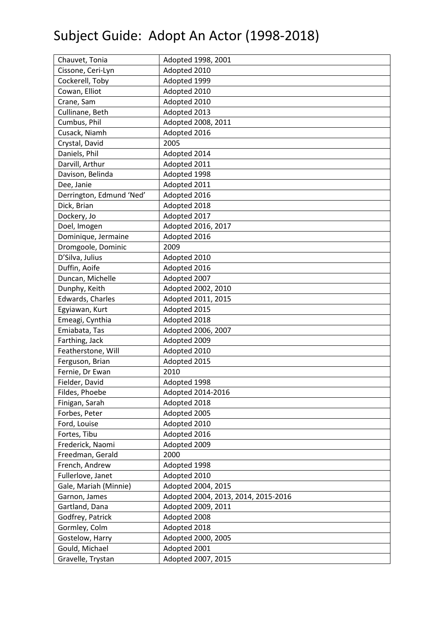| Chauvet, Tonia           | Adopted 1998, 2001                  |
|--------------------------|-------------------------------------|
| Cissone, Ceri-Lyn        | Adopted 2010                        |
| Cockerell, Toby          | Adopted 1999                        |
| Cowan, Elliot            | Adopted 2010                        |
| Crane, Sam               | Adopted 2010                        |
| Cullinane, Beth          | Adopted 2013                        |
| Cumbus, Phil             | Adopted 2008, 2011                  |
| Cusack, Niamh            | Adopted 2016                        |
| Crystal, David           | 2005                                |
| Daniels, Phil            | Adopted 2014                        |
| Darvill, Arthur          | Adopted 2011                        |
| Davison, Belinda         | Adopted 1998                        |
| Dee, Janie               | Adopted 2011                        |
| Derrington, Edmund 'Ned' | Adopted 2016                        |
| Dick, Brian              | Adopted 2018                        |
| Dockery, Jo              | Adopted 2017                        |
| Doel, Imogen             | Adopted 2016, 2017                  |
| Dominique, Jermaine      | Adopted 2016                        |
| Dromgoole, Dominic       | 2009                                |
| D'Silva, Julius          | Adopted 2010                        |
| Duffin, Aoife            | Adopted 2016                        |
| Duncan, Michelle         | Adopted 2007                        |
| Dunphy, Keith            | Adopted 2002, 2010                  |
| Edwards, Charles         | Adopted 2011, 2015                  |
| Egyiawan, Kurt           | Adopted 2015                        |
| Emeagi, Cynthia          | Adopted 2018                        |
| Emiabata, Tas            | Adopted 2006, 2007                  |
| Farthing, Jack           | Adopted 2009                        |
| Featherstone, Will       | Adopted 2010                        |
| Ferguson, Brian          | Adopted 2015                        |
| Fernie, Dr Ewan          | 2010                                |
| Fielder, David           | Adopted 1998                        |
| Fildes, Phoebe           | Adopted 2014-2016                   |
| Finigan, Sarah           | Adopted 2018                        |
| Forbes, Peter            | Adopted 2005                        |
| Ford, Louise             | Adopted 2010                        |
| Fortes, Tibu             | Adopted 2016                        |
| Frederick, Naomi         | Adopted 2009                        |
| Freedman, Gerald         | 2000                                |
| French, Andrew           | Adopted 1998                        |
| Fullerlove, Janet        | Adopted 2010                        |
| Gale, Mariah (Minnie)    | Adopted 2004, 2015                  |
| Garnon, James            | Adopted 2004, 2013, 2014, 2015-2016 |
| Gartland, Dana           | Adopted 2009, 2011                  |
| Godfrey, Patrick         | Adopted 2008                        |
| Gormley, Colm            | Adopted 2018                        |
| Gostelow, Harry          | Adopted 2000, 2005                  |
| Gould, Michael           | Adopted 2001                        |
| Gravelle, Trystan        | Adopted 2007, 2015                  |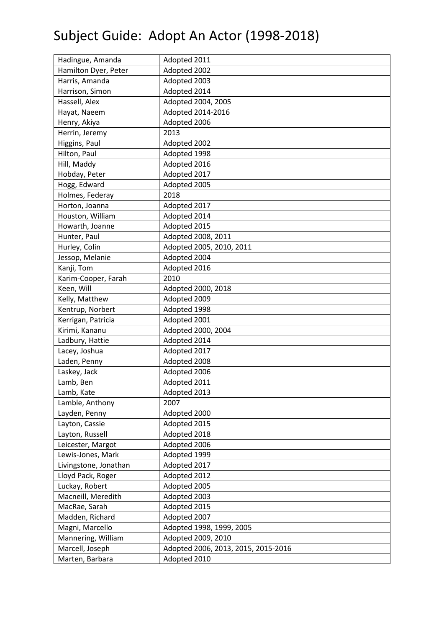| Hadingue, Amanda      | Adopted 2011                        |
|-----------------------|-------------------------------------|
| Hamilton Dyer, Peter  | Adopted 2002                        |
| Harris, Amanda        | Adopted 2003                        |
| Harrison, Simon       | Adopted 2014                        |
| Hassell, Alex         | Adopted 2004, 2005                  |
| Hayat, Naeem          | Adopted 2014-2016                   |
| Henry, Akiya          | Adopted 2006                        |
| Herrin, Jeremy        | 2013                                |
| Higgins, Paul         | Adopted 2002                        |
| Hilton, Paul          | Adopted 1998                        |
| Hill, Maddy           | Adopted 2016                        |
| Hobday, Peter         | Adopted 2017                        |
| Hogg, Edward          | Adopted 2005                        |
| Holmes, Federay       | 2018                                |
| Horton, Joanna        | Adopted 2017                        |
| Houston, William      | Adopted 2014                        |
| Howarth, Joanne       | Adopted 2015                        |
| Hunter, Paul          | Adopted 2008, 2011                  |
| Hurley, Colin         | Adopted 2005, 2010, 2011            |
| Jessop, Melanie       | Adopted 2004                        |
| Kanji, Tom            | Adopted 2016                        |
| Karim-Cooper, Farah   | 2010                                |
| Keen, Will            | Adopted 2000, 2018                  |
| Kelly, Matthew        | Adopted 2009                        |
| Kentrup, Norbert      | Adopted 1998                        |
| Kerrigan, Patricia    | Adopted 2001                        |
| Kirimi, Kananu        | Adopted 2000, 2004                  |
| Ladbury, Hattie       | Adopted 2014                        |
| Lacey, Joshua         | Adopted 2017                        |
| Laden, Penny          | Adopted 2008                        |
| Laskey, Jack          | Adopted 2006                        |
| Lamb, Ben             | Adopted 2011                        |
| Lamb, Kate            | Adopted 2013                        |
| Lamble, Anthony       | 2007                                |
| Layden, Penny         | Adopted 2000                        |
| Layton, Cassie        | Adopted 2015                        |
| Layton, Russell       | Adopted 2018                        |
| Leicester, Margot     | Adopted 2006                        |
| Lewis-Jones, Mark     | Adopted 1999                        |
| Livingstone, Jonathan | Adopted 2017                        |
| Lloyd Pack, Roger     | Adopted 2012                        |
| Luckay, Robert        | Adopted 2005                        |
| Macneill, Meredith    | Adopted 2003                        |
| MacRae, Sarah         | Adopted 2015                        |
| Madden, Richard       | Adopted 2007                        |
| Magni, Marcello       | Adopted 1998, 1999, 2005            |
| Mannering, William    | Adopted 2009, 2010                  |
| Marcell, Joseph       | Adopted 2006, 2013, 2015, 2015-2016 |
| Marten, Barbara       | Adopted 2010                        |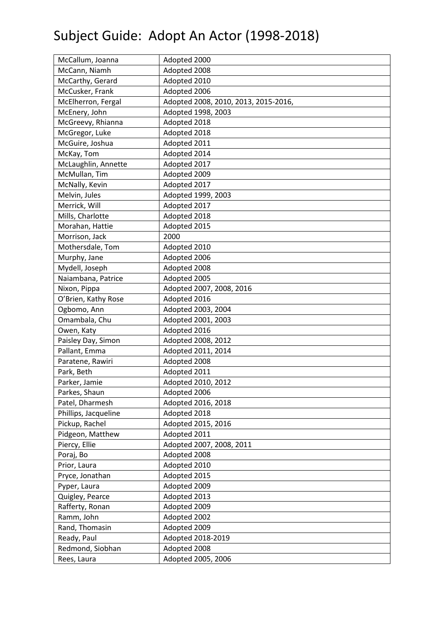| McCallum, Joanna     | Adopted 2000                         |
|----------------------|--------------------------------------|
| McCann, Niamh        | Adopted 2008                         |
| McCarthy, Gerard     | Adopted 2010                         |
| McCusker, Frank      | Adopted 2006                         |
| McElherron, Fergal   | Adopted 2008, 2010, 2013, 2015-2016, |
| McEnery, John        | Adopted 1998, 2003                   |
| McGreevy, Rhianna    | Adopted 2018                         |
| McGregor, Luke       | Adopted 2018                         |
| McGuire, Joshua      | Adopted 2011                         |
| McKay, Tom           | Adopted 2014                         |
| McLaughlin, Annette  | Adopted 2017                         |
| McMullan, Tim        | Adopted 2009                         |
| McNally, Kevin       | Adopted 2017                         |
| Melvin, Jules        | Adopted 1999, 2003                   |
| Merrick, Will        | Adopted 2017                         |
| Mills, Charlotte     | Adopted 2018                         |
| Morahan, Hattie      | Adopted 2015                         |
| Morrison, Jack       | 2000                                 |
| Mothersdale, Tom     | Adopted 2010                         |
| Murphy, Jane         | Adopted 2006                         |
| Mydell, Joseph       | Adopted 2008                         |
| Naiambana, Patrice   | Adopted 2005                         |
| Nixon, Pippa         | Adopted 2007, 2008, 2016             |
| O'Brien, Kathy Rose  | Adopted 2016                         |
| Ogbomo, Ann          | Adopted 2003, 2004                   |
| Omambala, Chu        | Adopted 2001, 2003                   |
| Owen, Katy           | Adopted 2016                         |
| Paisley Day, Simon   | Adopted 2008, 2012                   |
| Pallant, Emma        | Adopted 2011, 2014                   |
| Paratene, Rawiri     | Adopted 2008                         |
| Park, Beth           | Adopted 2011                         |
| Parker, Jamie        | Adopted 2010, 2012                   |
| Parkes, Shaun        | Adopted 2006                         |
| Patel, Dharmesh      | Adopted 2016, 2018                   |
| Phillips, Jacqueline | Adopted 2018                         |
| Pickup, Rachel       | Adopted 2015, 2016                   |
| Pidgeon, Matthew     | Adopted 2011                         |
| Piercy, Ellie        | Adopted 2007, 2008, 2011             |
| Poraj, Bo            | Adopted 2008                         |
| Prior, Laura         | Adopted 2010                         |
| Pryce, Jonathan      | Adopted 2015                         |
| Pyper, Laura         | Adopted 2009                         |
| Quigley, Pearce      | Adopted 2013                         |
| Rafferty, Ronan      | Adopted 2009                         |
| Ramm, John           | Adopted 2002                         |
| Rand, Thomasin       | Adopted 2009                         |
| Ready, Paul          | Adopted 2018-2019                    |
| Redmond, Siobhan     | Adopted 2008                         |
| Rees, Laura          | Adopted 2005, 2006                   |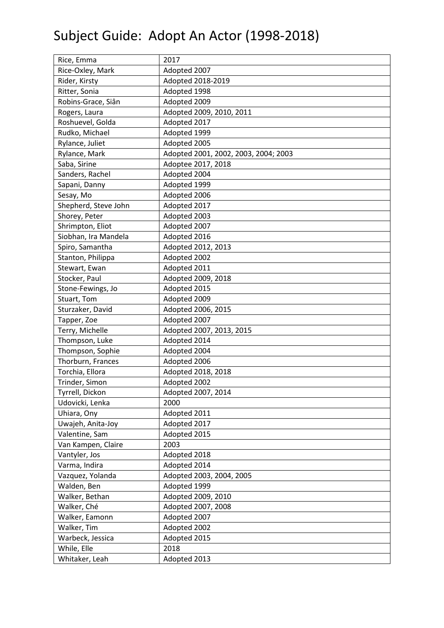| Rice, Emma           | 2017                                 |
|----------------------|--------------------------------------|
| Rice-Oxley, Mark     | Adopted 2007                         |
| Rider, Kirsty        | Adopted 2018-2019                    |
| Ritter, Sonia        | Adopted 1998                         |
| Robins-Grace, Siân   | Adopted 2009                         |
| Rogers, Laura        | Adopted 2009, 2010, 2011             |
| Roshuevel, Golda     | Adopted 2017                         |
| Rudko, Michael       | Adopted 1999                         |
| Rylance, Juliet      | Adopted 2005                         |
| Rylance, Mark        | Adopted 2001, 2002, 2003, 2004; 2003 |
| Saba, Sirine         | Adoptee 2017, 2018                   |
| Sanders, Rachel      | Adopted 2004                         |
| Sapani, Danny        | Adopted 1999                         |
| Sesay, Mo            | Adopted 2006                         |
| Shepherd, Steve John | Adopted 2017                         |
| Shorey, Peter        | Adopted 2003                         |
| Shrimpton, Eliot     | Adopted 2007                         |
| Siobhan, Ira Mandela | Adopted 2016                         |
| Spiro, Samantha      | Adopted 2012, 2013                   |
| Stanton, Philippa    | Adopted 2002                         |
| Stewart, Ewan        | Adopted 2011                         |
| Stocker, Paul        | Adopted 2009, 2018                   |
| Stone-Fewings, Jo    | Adopted 2015                         |
| Stuart, Tom          | Adopted 2009                         |
| Sturzaker, David     | Adopted 2006, 2015                   |
| Tapper, Zoe          | Adopted 2007                         |
| Terry, Michelle      | Adopted 2007, 2013, 2015             |
| Thompson, Luke       | Adopted 2014                         |
| Thompson, Sophie     | Adopted 2004                         |
| Thorburn, Frances    | Adopted 2006                         |
| Torchia, Ellora      | Adopted 2018, 2018                   |
| Trinder, Simon       | Adopted 2002                         |
| Tyrrell, Dickon      | Adopted 2007, 2014                   |
| Udovicki, Lenka      | 2000                                 |
| Uhiara, Ony          | Adopted 2011                         |
| Uwajeh, Anita-Joy    | Adopted 2017                         |
| Valentine, Sam       | Adopted 2015                         |
| Van Kampen, Claire   | 2003                                 |
| Vantyler, Jos        | Adopted 2018                         |
| Varma, Indira        | Adopted 2014                         |
| Vazquez, Yolanda     | Adopted 2003, 2004, 2005             |
| Walden, Ben          | Adopted 1999                         |
| Walker, Bethan       | Adopted 2009, 2010                   |
| Walker, Ché          | Adopted 2007, 2008                   |
| Walker, Eamonn       | Adopted 2007                         |
| Walker, Tim          | Adopted 2002                         |
| Warbeck, Jessica     | Adopted 2015                         |
| While, Elle          | 2018                                 |
| Whitaker, Leah       | Adopted 2013                         |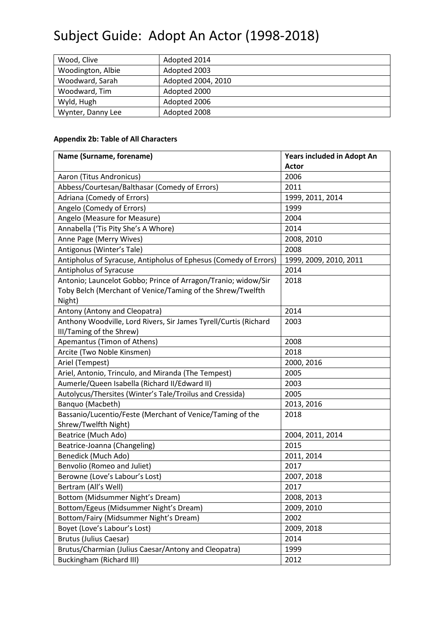| Wood, Clive       | Adopted 2014       |  |
|-------------------|--------------------|--|
| Woodington, Albie | Adopted 2003       |  |
| Woodward, Sarah   | Adopted 2004, 2010 |  |
| Woodward, Tim     | Adopted 2000       |  |
| Wyld, Hugh        | Adopted 2006       |  |
| Wynter, Danny Lee | Adopted 2008       |  |

#### **Appendix 2b: Table of All Characters**

| Name (Surname, forename)                                         | Years included in Adopt An |
|------------------------------------------------------------------|----------------------------|
|                                                                  | <b>Actor</b>               |
| Aaron (Titus Andronicus)                                         | 2006                       |
| Abbess/Courtesan/Balthasar (Comedy of Errors)                    | 2011                       |
| Adriana (Comedy of Errors)                                       | 1999, 2011, 2014           |
| Angelo (Comedy of Errors)                                        | 1999                       |
| Angelo (Measure for Measure)                                     | 2004                       |
| Annabella ('Tis Pity She's A Whore)                              | 2014                       |
| Anne Page (Merry Wives)                                          | 2008, 2010                 |
| Antigonus (Winter's Tale)                                        | 2008                       |
| Antipholus of Syracuse, Antipholus of Ephesus (Comedy of Errors) | 1999, 2009, 2010, 2011     |
| Antipholus of Syracuse                                           | 2014                       |
| Antonio; Launcelot Gobbo; Prince of Arragon/Tranio; widow/Sir    | 2018                       |
| Toby Belch (Merchant of Venice/Taming of the Shrew/Twelfth       |                            |
| Night)                                                           |                            |
| Antony (Antony and Cleopatra)                                    | 2014                       |
| Anthony Woodville, Lord Rivers, Sir James Tyrell/Curtis (Richard | 2003                       |
| III/Taming of the Shrew)                                         |                            |
| Apemantus (Timon of Athens)                                      | 2008                       |
| Arcite (Two Noble Kinsmen)                                       | 2018                       |
| Ariel (Tempest)                                                  | 2000, 2016                 |
| Ariel, Antonio, Trinculo, and Miranda (The Tempest)              | 2005                       |
| Aumerle/Queen Isabella (Richard II/Edward II)                    | 2003                       |
| Autolycus/Thersites (Winter's Tale/Troilus and Cressida)         | 2005                       |
| Banquo (Macbeth)                                                 | 2013, 2016                 |
| Bassanio/Lucentio/Feste (Merchant of Venice/Taming of the        | 2018                       |
| Shrew/Twelfth Night)                                             |                            |
| Beatrice (Much Ado)                                              | 2004, 2011, 2014           |
| Beatrice-Joanna (Changeling)                                     | 2015                       |
| Benedick (Much Ado)                                              | 2011, 2014                 |
| Benvolio (Romeo and Juliet)                                      | 2017                       |
| Berowne (Love's Labour's Lost)                                   | 2007, 2018                 |
| Bertram (All's Well)                                             | 2017                       |
| Bottom (Midsummer Night's Dream)                                 | 2008, 2013                 |
| Bottom/Egeus (Midsummer Night's Dream)                           | 2009, 2010                 |
| Bottom/Fairy (Midsummer Night's Dream)                           | 2002                       |
| Boyet (Love's Labour's Lost)                                     | 2009, 2018                 |
| <b>Brutus (Julius Caesar)</b>                                    | 2014                       |
| Brutus/Charmian (Julius Caesar/Antony and Cleopatra)             | 1999                       |
| Buckingham (Richard III)                                         | 2012                       |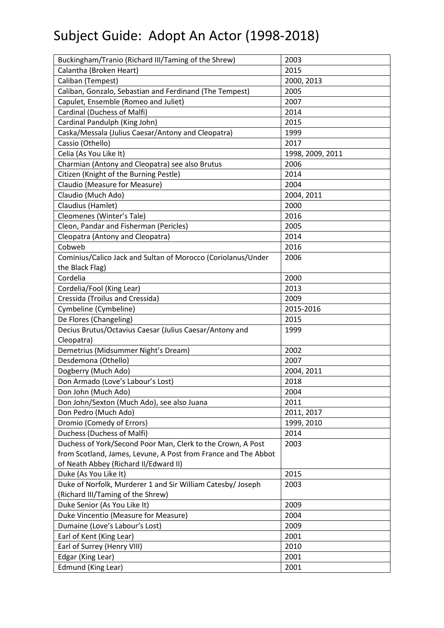| Buckingham/Tranio (Richard III/Taming of the Shrew)            | 2003             |
|----------------------------------------------------------------|------------------|
| Calantha (Broken Heart)                                        | 2015             |
| Caliban (Tempest)                                              | 2000, 2013       |
| Caliban, Gonzalo, Sebastian and Ferdinand (The Tempest)        | 2005             |
| Capulet, Ensemble (Romeo and Juliet)                           | 2007             |
| Cardinal (Duchess of Malfi)                                    | 2014             |
| Cardinal Pandulph (King John)                                  | 2015             |
| Caska/Messala (Julius Caesar/Antony and Cleopatra)             | 1999             |
| Cassio (Othello)                                               | 2017             |
| Celia (As You Like It)                                         | 1998, 2009, 2011 |
| Charmian (Antony and Cleopatra) see also Brutus                | 2006             |
| Citizen (Knight of the Burning Pestle)                         | 2014             |
| Claudio (Measure for Measure)                                  | 2004             |
| Claudio (Much Ado)                                             | 2004, 2011       |
| Claudius (Hamlet)                                              | 2000             |
| Cleomenes (Winter's Tale)                                      | 2016             |
| Cleon, Pandar and Fisherman (Pericles)                         | 2005             |
| Cleopatra (Antony and Cleopatra)                               | 2014             |
| Cobweb                                                         | 2016             |
| Cominius/Calico Jack and Sultan of Morocco (Coriolanus/Under   | 2006             |
| the Black Flag)                                                |                  |
| Cordelia                                                       | 2000             |
| Cordelia/Fool (King Lear)                                      | 2013             |
| Cressida (Troilus and Cressida)                                | 2009             |
| Cymbeline (Cymbeline)                                          | 2015-2016        |
| De Flores (Changeling)                                         | 2015             |
| Decius Brutus/Octavius Caesar (Julius Caesar/Antony and        | 1999             |
| Cleopatra)                                                     |                  |
| Demetrius (Midsummer Night's Dream)                            | 2002             |
| Desdemona (Othello)                                            | 2007             |
| Dogberry (Much Ado)                                            | 2004, 2011       |
| Don Armado (Love's Labour's Lost)                              | 2018             |
| Don John (Much Ado)                                            | 2004             |
| Don John/Sexton (Much Ado), see also Juana                     | 2011             |
| Don Pedro (Much Ado)                                           | 2011, 2017       |
| Dromio (Comedy of Errors)                                      | 1999, 2010       |
| Duchess (Duchess of Malfi)                                     | 2014             |
| Duchess of York/Second Poor Man, Clerk to the Crown, A Post    | 2003             |
| from Scotland, James, Levune, A Post from France and The Abbot |                  |
| of Neath Abbey (Richard II/Edward II)                          |                  |
| Duke (As You Like It)                                          | 2015             |
| Duke of Norfolk, Murderer 1 and Sir William Catesby/ Joseph    | 2003             |
| (Richard III/Taming of the Shrew)                              |                  |
| Duke Senior (As You Like It)                                   | 2009             |
| Duke Vincentio (Measure for Measure)                           | 2004             |
| Dumaine (Love's Labour's Lost)                                 | 2009             |
| Earl of Kent (King Lear)                                       | 2001             |
| Earl of Surrey (Henry VIII)                                    | 2010             |
| Edgar (King Lear)                                              | 2001             |
| Edmund (King Lear)                                             | 2001             |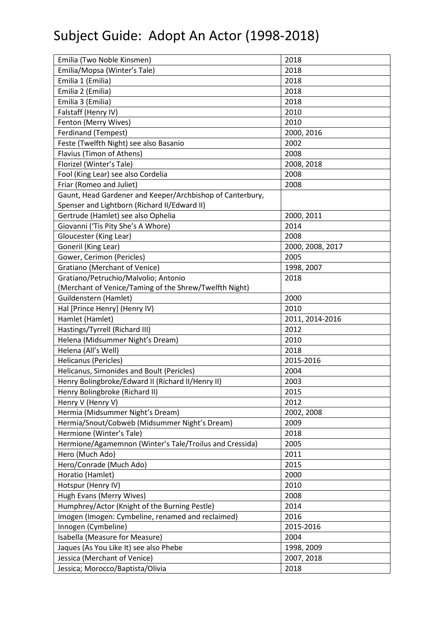| Emilia (Two Noble Kinsmen)                                | 2018             |  |
|-----------------------------------------------------------|------------------|--|
| Emilia/Mopsa (Winter's Tale)                              | 2018             |  |
| Emilia 1 (Emilia)                                         | 2018             |  |
| Emilia 2 (Emilia)                                         | 2018             |  |
| Emilia 3 (Emilia)                                         | 2018             |  |
| Falstaff (Henry IV)                                       | 2010             |  |
| Fenton (Merry Wives)                                      | 2010             |  |
| Ferdinand (Tempest)                                       | 2000, 2016       |  |
| Feste (Twelfth Night) see also Basanio                    | 2002             |  |
| Flavius (Timon of Athens)                                 | 2008             |  |
| Florizel (Winter's Tale)                                  | 2008, 2018       |  |
| Fool (King Lear) see also Cordelia                        | 2008             |  |
| Friar (Romeo and Juliet)                                  | 2008             |  |
| Gaunt, Head Gardener and Keeper/Archbishop of Canterbury, |                  |  |
| Spenser and Lightborn (Richard II/Edward II)              |                  |  |
| Gertrude (Hamlet) see also Ophelia                        | 2000, 2011       |  |
| Giovanni ('Tis Pity She's A Whore)                        | 2014             |  |
| Gloucester (King Lear)                                    | 2008             |  |
| Goneril (King Lear)                                       | 2000, 2008, 2017 |  |
| Gower, Cerimon (Pericles)                                 | 2005             |  |
| <b>Gratiano (Merchant of Venice)</b>                      | 1998, 2007       |  |
| Gratiano/Petruchio/Malvolio; Antonio                      | 2018             |  |
| (Merchant of Venice/Taming of the Shrew/Twelfth Night)    |                  |  |
| Guildenstern (Hamlet)                                     | 2000             |  |
| Hal [Prince Henry] (Henry IV)                             | 2010             |  |
| Hamlet (Hamlet)                                           | 2011, 2014-2016  |  |
| Hastings/Tyrrell (Richard III)                            | 2012             |  |
| Helena (Midsummer Night's Dream)                          | 2010             |  |
| Helena (All's Well)                                       | 2018             |  |
| <b>Helicanus (Pericles)</b>                               | 2015-2016        |  |
| Helicanus, Simonides and Boult (Pericles)                 | 2004             |  |
| Henry Bolingbroke/Edward II (Richard II/Henry II)         | 2003             |  |
| Henry Bolingbroke (Richard II)                            | 2015             |  |
| Henry V (Henry V)                                         | 2012             |  |
| Hermia (Midsummer Night's Dream)                          | 2002, 2008       |  |
| Hermia/Snout/Cobweb (Midsummer Night's Dream)             | 2009             |  |
| Hermione (Winter's Tale)                                  | 2018             |  |
| Hermione/Agamemnon (Winter's Tale/Troilus and Cressida)   | 2005             |  |
| Hero (Much Ado)                                           | 2011             |  |
| Hero/Conrade (Much Ado)                                   | 2015             |  |
| Horatio (Hamlet)                                          | 2000             |  |
| Hotspur (Henry IV)                                        | 2010             |  |
| Hugh Evans (Merry Wives)                                  | 2008             |  |
| Humphrey/Actor (Knight of the Burning Pestle)             | 2014             |  |
| Imogen (Imogen: Cymbeline, renamed and reclaimed)         | 2016             |  |
| Innogen (Cymbeline)                                       | 2015-2016        |  |
| Isabella (Measure for Measure)                            | 2004             |  |
| Jaques (As You Like It) see also Phebe                    | 1998, 2009       |  |
| Jessica (Merchant of Venice)                              | 2007, 2018       |  |
|                                                           | 2018             |  |
| Jessica; Morocco/Baptista/Olivia                          |                  |  |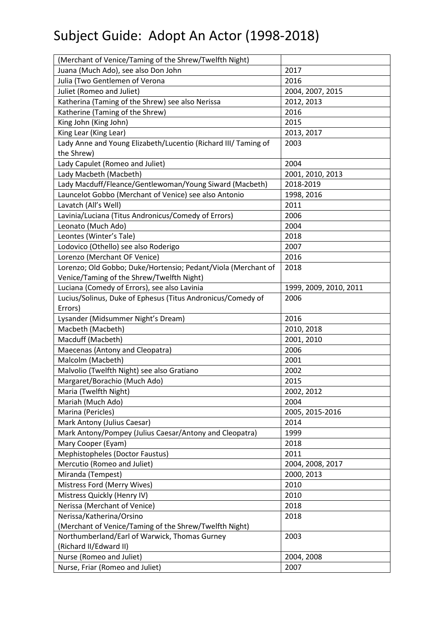| (Merchant of Venice/Taming of the Shrew/Twelfth Night)         |                                |
|----------------------------------------------------------------|--------------------------------|
| Juana (Much Ado), see also Don John                            | 2017                           |
| Julia (Two Gentlemen of Verona                                 | 2016                           |
| Juliet (Romeo and Juliet)                                      | 2004, 2007, 2015               |
| Katherina (Taming of the Shrew) see also Nerissa               | 2012, 2013                     |
| Katherine (Taming of the Shrew)                                | 2016                           |
| King John (King John)                                          | 2015                           |
| King Lear (King Lear)                                          | 2013, 2017                     |
| Lady Anne and Young Elizabeth/Lucentio (Richard III/ Taming of | 2003                           |
| the Shrew)                                                     |                                |
| Lady Capulet (Romeo and Juliet)                                | 2004                           |
| Lady Macbeth (Macbeth)                                         | 2001, 2010, 2013               |
| Lady Macduff/Fleance/Gentlewoman/Young Siward (Macbeth)        | 2018-2019                      |
| Launcelot Gobbo (Merchant of Venice) see also Antonio          | 1998, 2016                     |
| Lavatch (All's Well)                                           | 2011                           |
| Lavinia/Luciana (Titus Andronicus/Comedy of Errors)            | 2006                           |
| Leonato (Much Ado)                                             | 2004                           |
| Leontes (Winter's Tale)                                        | 2018                           |
| Lodovico (Othello) see also Roderigo                           | 2007                           |
| Lorenzo (Merchant OF Venice)                                   | 2016                           |
| Lorenzo; Old Gobbo; Duke/Hortensio; Pedant/Viola (Merchant of  | 2018                           |
| Venice/Taming of the Shrew/Twelfth Night)                      |                                |
| Luciana (Comedy of Errors), see also Lavinia                   |                                |
| Lucius/Solinus, Duke of Ephesus (Titus Andronicus/Comedy of    | 1999, 2009, 2010, 2011<br>2006 |
| Errors)                                                        |                                |
|                                                                |                                |
| Lysander (Midsummer Night's Dream)                             | 2016                           |
| Macbeth (Macbeth)                                              | 2010, 2018                     |
| Macduff (Macbeth)                                              | 2001, 2010                     |
| Maecenas (Antony and Cleopatra)                                | 2006                           |
| Malcolm (Macbeth)                                              | 2001                           |
| Malvolio (Twelfth Night) see also Gratiano                     | 2002                           |
| Margaret/Borachio (Much Ado)                                   | 2015                           |
|                                                                | 2002, 2012                     |
| Maria (Twelfth Night)                                          | 2004                           |
| Mariah (Much Ado)                                              |                                |
| Marina (Pericles)                                              | 2005, 2015-2016<br>2014        |
| Mark Antony (Julius Caesar)                                    |                                |
| Mark Antony/Pompey (Julius Caesar/Antony and Cleopatra)        | 1999                           |
| Mary Cooper (Eyam)                                             | 2018                           |
| Mephistopheles (Doctor Faustus)                                | 2011                           |
| Mercutio (Romeo and Juliet)                                    | 2004, 2008, 2017               |
| Miranda (Tempest)                                              | 2000, 2013                     |
| Mistress Ford (Merry Wives)                                    | 2010                           |
| Mistress Quickly (Henry IV)                                    | 2010                           |
| Nerissa (Merchant of Venice)                                   | 2018                           |
| Nerissa/Katherina/Orsino                                       | 2018                           |
| (Merchant of Venice/Taming of the Shrew/Twelfth Night)         |                                |
| Northumberland/Earl of Warwick, Thomas Gurney                  | 2003                           |
| (Richard II/Edward II)                                         |                                |
| Nurse (Romeo and Juliet)<br>Nurse, Friar (Romeo and Juliet)    | 2004, 2008<br>2007             |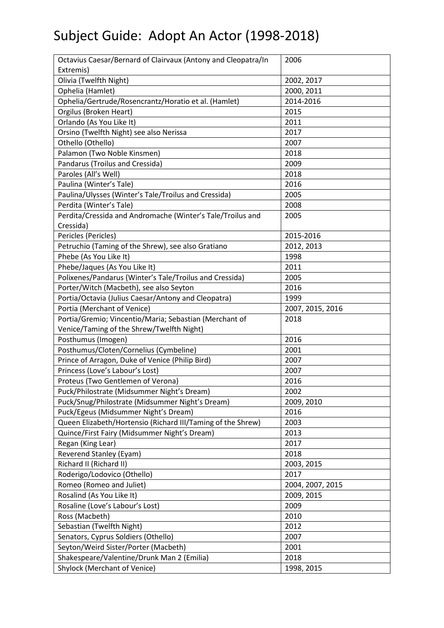| Octavius Caesar/Bernard of Clairvaux (Antony and Cleopatra/In | 2006             |
|---------------------------------------------------------------|------------------|
| Extremis)                                                     |                  |
| Olivia (Twelfth Night)                                        | 2002, 2017       |
| Ophelia (Hamlet)                                              | 2000, 2011       |
| Ophelia/Gertrude/Rosencrantz/Horatio et al. (Hamlet)          | 2014-2016        |
| Orgilus (Broken Heart)                                        | 2015             |
| Orlando (As You Like It)                                      | 2011             |
| Orsino (Twelfth Night) see also Nerissa                       | 2017             |
| Othello (Othello)                                             | 2007             |
| Palamon (Two Noble Kinsmen)                                   | 2018             |
| Pandarus (Troilus and Cressida)                               | 2009             |
| Paroles (All's Well)                                          | 2018             |
| Paulina (Winter's Tale)                                       | 2016             |
| Paulina/Ulysses (Winter's Tale/Troilus and Cressida)          | 2005             |
| Perdita (Winter's Tale)                                       | 2008             |
| Perdita/Cressida and Andromache (Winter's Tale/Troilus and    | 2005             |
| Cressida)                                                     |                  |
| Pericles (Pericles)                                           | 2015-2016        |
| Petruchio (Taming of the Shrew), see also Gratiano            | 2012, 2013       |
| Phebe (As You Like It)                                        | 1998             |
| Phebe/Jaques (As You Like It)                                 | 2011             |
| Polixenes/Pandarus (Winter's Tale/Troilus and Cressida)       | 2005             |
| Porter/Witch (Macbeth), see also Seyton                       | 2016             |
| Portia/Octavia (Julius Caesar/Antony and Cleopatra)           | 1999             |
| Portia (Merchant of Venice)                                   | 2007, 2015, 2016 |
| Portia/Gremio; Vincentio/Maria; Sebastian (Merchant of        | 2018             |
| Venice/Taming of the Shrew/Twelfth Night)                     |                  |
| Posthumus (Imogen)                                            | 2016             |
| Posthumus/Cloten/Cornelius (Cymbeline)                        | 2001             |
| Prince of Arragon, Duke of Venice (Philip Bird)               | 2007             |
| Princess (Love's Labour's Lost)                               | 2007             |
| Proteus (Two Gentlemen of Verona)                             | 2016             |
| Puck/Philostrate (Midsummer Night's Dream)                    | 2002             |
| Puck/Snug/Philostrate (Midsummer Night's Dream)               | 2009, 2010       |
| Puck/Egeus (Midsummer Night's Dream)                          | 2016             |
| Queen Elizabeth/Hortensio (Richard III/Taming of the Shrew)   | 2003             |
| Quince/First Fairy (Midsummer Night's Dream)                  | 2013             |
| Regan (King Lear)                                             | 2017             |
| <b>Reverend Stanley (Eyam)</b>                                | 2018             |
| Richard II (Richard II)                                       | 2003, 2015       |
| Roderigo/Lodovico (Othello)                                   | 2017             |
| Romeo (Romeo and Juliet)                                      | 2004, 2007, 2015 |
| Rosalind (As You Like It)                                     | 2009, 2015       |
| Rosaline (Love's Labour's Lost)                               | 2009             |
| Ross (Macbeth)                                                | 2010             |
| Sebastian (Twelfth Night)                                     | 2012             |
| Senators, Cyprus Soldiers (Othello)                           | 2007             |
| Seyton/Weird Sister/Porter (Macbeth)                          | 2001             |
| Shakespeare/Valentine/Drunk Man 2 (Emilia)                    | 2018             |
| <b>Shylock (Merchant of Venice)</b>                           | 1998, 2015       |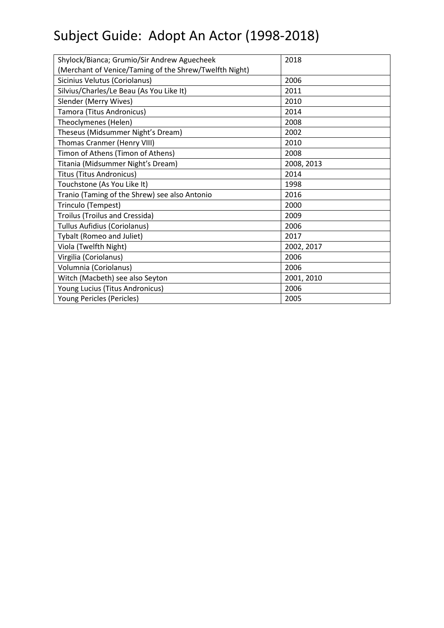| Shylock/Bianca; Grumio/Sir Andrew Aguecheek            | 2018       |
|--------------------------------------------------------|------------|
| (Merchant of Venice/Taming of the Shrew/Twelfth Night) |            |
| Sicinius Velutus (Coriolanus)                          | 2006       |
| Silvius/Charles/Le Beau (As You Like It)               | 2011       |
| Slender (Merry Wives)                                  | 2010       |
| Tamora (Titus Andronicus)                              | 2014       |
| Theoclymenes (Helen)                                   | 2008       |
| Theseus (Midsummer Night's Dream)                      | 2002       |
| Thomas Cranmer (Henry VIII)                            | 2010       |
| Timon of Athens (Timon of Athens)                      | 2008       |
| Titania (Midsummer Night's Dream)                      | 2008, 2013 |
| <b>Titus (Titus Andronicus)</b>                        | 2014       |
| Touchstone (As You Like It)                            | 1998       |
| Tranio (Taming of the Shrew) see also Antonio          | 2016       |
| Trinculo (Tempest)                                     | 2000       |
| Troilus (Troilus and Cressida)                         | 2009       |
| <b>Tullus Aufidius (Coriolanus)</b>                    | 2006       |
| Tybalt (Romeo and Juliet)                              | 2017       |
| Viola (Twelfth Night)                                  | 2002, 2017 |
| Virgilia (Coriolanus)                                  | 2006       |
| Volumnia (Coriolanus)                                  | 2006       |
| Witch (Macbeth) see also Seyton                        | 2001, 2010 |
| Young Lucius (Titus Andronicus)                        | 2006       |
| Young Pericles (Pericles)                              | 2005       |
|                                                        |            |